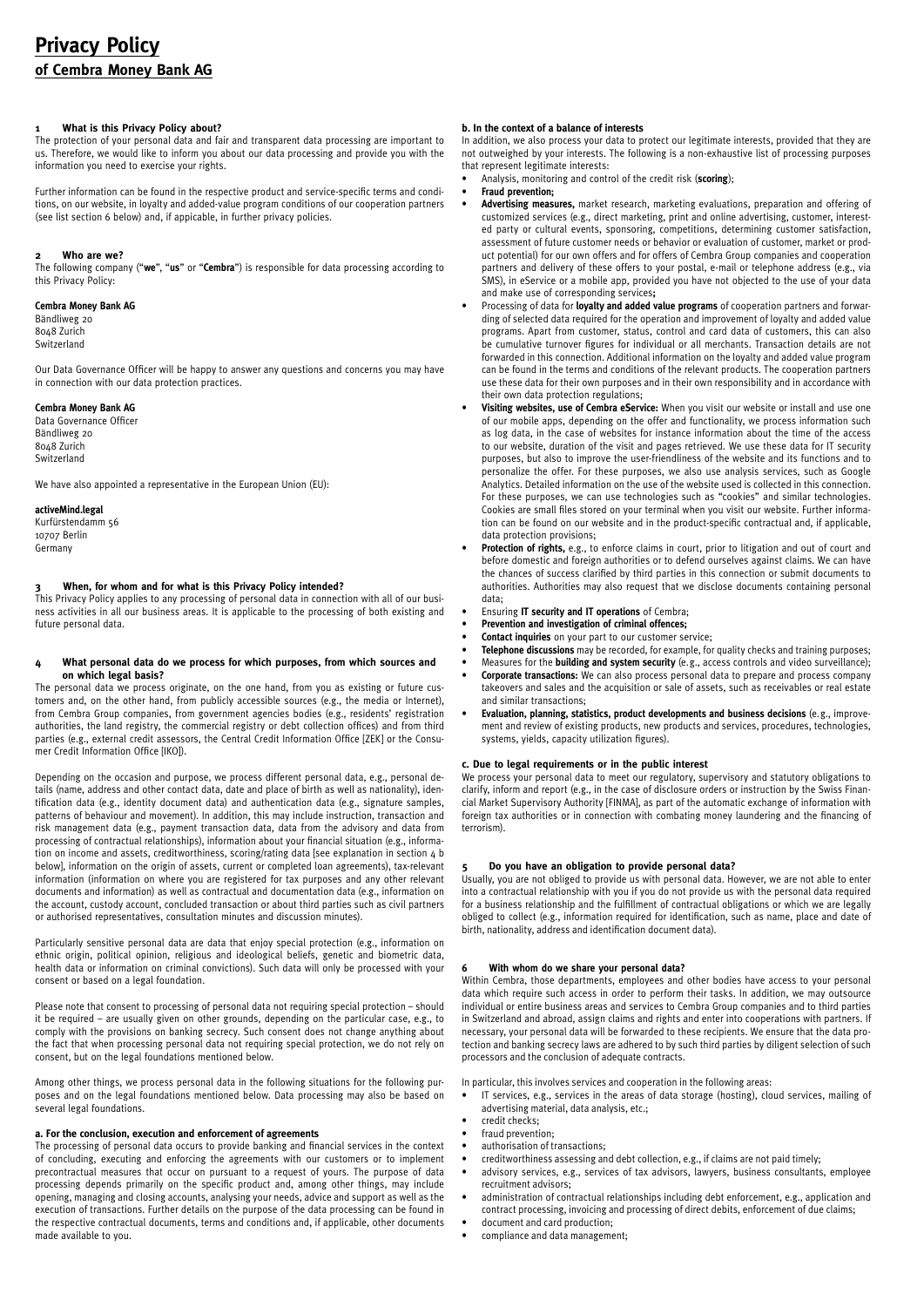## **1 What is this Privacy Policy about?**

The protection of your personal data and fair and transparent data processing are important to us. Therefore, we would like to inform you about our data processing and provide you with the information you need to exercise your rights.

Further information can be found in the respective product and service-specific terms and conditions, on our website, in loyalty and added-value program conditions of our cooperation partners (see list section 6 below) and, if appicable, in further privacy policies.

### **2 Who are we?**

The following company ("**we**", "**us**" or "**Cembra**") is responsible for data processing according to this Privacy Policy:

## **Cembra Money Bank AG**

Bändliweg 20 8048 Zurich Switzerland

Our Data Governance Officer will be happy to answer any questions and concerns you may have in connection with our data protection practices.

# **Cembra Money Bank AG**

Data Governance Officer Bändliweg 20 8048 Zurich Switzerland

We have also appointed a representative in the European Union (EU):

## **activeMind.legal**

Kurfürstendamm 56 10707 Berlin Germany

#### **3 When, for whom and for what is this Privacy Policy intended?**

This Privacy Policy applies to any processing of personal data in connection with all of our business activities in all our business areas. It is applicable to the processing of both existing and future personal data.

#### **4 What personal data do we process for which purposes, from which sources and on which legal basis?**

The personal data we process originate, on the one hand, from you as existing or future customers and, on the other hand, from publicly accessible sources (e.g., the media or Internet), from Cembra Group companies, from government agencies bodies (e.g., residents' registration authorities, the land registry, the commercial registry or debt collection offices) and from third parties (e.g., external credit assessors, the Central Credit Information Office [ZEK] or the Consumer Credit Information Office [IKO]).

Depending on the occasion and purpose, we process different personal data, e.g., personal details (name, address and other contact data, date and place of birth as well as nationality), identification data (e.g., identity document data) and authentication data (e.g., signature samples, patterns of behaviour and movement). In addition, this may include instruction, transaction and risk management data (e.g., payment transaction data, data from the advisory and data from processing of contractual relationships), information about your financial situation (e.g., information on income and assets, creditworthiness, scoring/rating data [see explanation in section 4 b below], information on the origin of assets, current or completed loan agreements), tax-relevant information (information on where you are registered for tax purposes and any other relevant documents and information) as well as contractual and documentation data (e.g., information on the account, custody account, concluded transaction or about third parties such as civil partners or authorised representatives, consultation minutes and discussion minutes).

Particularly sensitive personal data are data that enjoy special protection (e.g., information on ethnic origin, political opinion, religious and ideological beliefs, genetic and biometric data, health data or information on criminal convictions). Such data will only be processed with your consent or based on a legal foundation.

Please note that consent to processing of personal data not requiring special protection – should it be required – are usually given on other grounds, depending on the particular case, e.g., to comply with the provisions on banking secrecy. Such consent does not change anything about the fact that when processing personal data not requiring special protection, we do not rely on consent, but on the legal foundations mentioned below.

Among other things, we process personal data in the following situations for the following purposes and on the legal foundations mentioned below. Data processing may also be based on several legal foundations.

## **a. For the conclusion, execution and enforcement of agreements**

The processing of personal data occurs to provide banking and financial services in the context of concluding, executing and enforcing the agreements with our customers or to implement precontractual measures that occur on pursuant to a request of yours. The purpose of data processing depends primarily on the specific product and, among other things, may include opening, managing and closing accounts, analysing your needs, advice and support as well as the execution of transactions. Further details on the purpose of the data processing can be found in the respective contractual documents, terms and conditions and, if applicable, other documents made available to you.

# **b. In the context of a balance of interests**

In addition, we also process your data to protect our legitimate interests, provided that they are not outweighed by your interests. The following is a non-exhaustive list of processing purposes that represent legitimate interests:

• Analysis, monitoring and control of the credit risk (**scoring**);

# • **Fraud prevention;**

- **Advertising measures,** market research, marketing evaluations, preparation and offering of customized services (e.g., direct marketing, print and online advertising, customer, interested party or cultural events, sponsoring, competitions, determining customer satisfaction, assessment of future customer needs or behavior or evaluation of customer, market or product potential) for our own offers and for offers of Cembra Group companies and cooperation partners and delivery of these offers to your postal, e-mail or telephone address (e.g., via SMS), in eService or a mobile app, provided you have not objected to the use of your data and make use of corresponding services**;**
- Processing of data for **loyalty and added value programs** of cooperation partners and forwarding of selected data required for the operation and improvement of loyalty and added value programs. Apart from customer, status, control and card data of customers, this can also be cumulative turnover figures for individual or all merchants. Transaction details are not forwarded in this connection. Additional information on the loyalty and added value program can be found in the terms and conditions of the relevant products. The cooperation partners use these data for their own purposes and in their own responsibility and in accordance with their own data protection regulations;
- **Visiting websites, use of Cembra eService:** When you visit our website or install and use one of our mobile apps, depending on the offer and functionality, we process information such as log data, in the case of websites for instance information about the time of the access to our website, duration of the visit and pages retrieved. We use these data for IT security purposes, but also to improve the user-friendliness of the website and its functions and to personalize the offer. For these purposes, we also use analysis services, such as Google Analytics. Detailed information on the use of the website used is collected in this connection. For these purposes, we can use technologies such as "cookies" and similar technologies. Cookies are small files stored on your terminal when you visit our website. Further information can be found on our website and in the product-specific contractual and, if applicable, data protection provisions;
- **Protection of rights,** e.g., to enforce claims in court, prior to litigation and out of court and before domestic and foreign authorities or to defend ourselves against claims. We can have the chances of success clarified by third parties in this connection or submit documents to authorities. Authorities may also request that we disclose documents containing personal data;
- Ensuring **IT security and IT operations** of Cembra;
- **Prevention and investigation of criminal offences;**
- **Contact inquiries** on your part to our customer service;
- **Telephone discussions** may be recorded, for example, for quality checks and training purposes;
- Measures for the **building and system security** (e.g., access controls and video surveillance); • **Corporate transactions:** We can also process personal data to prepare and process company takeovers and sales and the acquisition or sale of assets, such as receivables or real estate
- and similar transactions; • **Evaluation, planning, statistics, product developments and business decisions** (e.g., improvement and review of existing products, new products and services, procedures, technologies, systems, yields, capacity utilization figures).

## **c. Due to legal requirements or in the public interest**

We process your personal data to meet our regulatory, supervisory and statutory obligations to clarify, inform and report (e.g., in the case of disclosure orders or instruction by the Swiss Financial Market Supervisory Authority [FINMA], as part of the automatic exchange of information with foreign tax authorities or in connection with combating money laundering and the financing of terrorism).

# **5 Do you have an obligation to provide personal data?**

Usually, you are not obliged to provide us with personal data. However, we are not able to enter into a contractual relationship with you if you do not provide us with the personal data required for a business relationship and the fulfillment of contractual obligations or which we are legally obliged to collect (e.g., information required for identification, such as name, place and date of birth, nationality, address and identification document data).

#### **6 With whom do we share your personal data?**

Within Cembra, those departments, employees and other bodies have access to your personal data which require such access in order to perform their tasks. In addition, we may outsource individual or entire business areas and services to Cembra Group companies and to third parties in Switzerland and abroad, assign claims and rights and enter into cooperations with partners. If necessary, your personal data will be forwarded to these recipients. We ensure that the data protection and banking secrecy laws are adhered to by such third parties by diligent selection of such processors and the conclusion of adequate contracts.

In particular, this involves services and cooperation in the following areas:

- IT services, e.g., services in the areas of data storage (hosting), cloud services, mailing of advertising material, data analysis, etc.;
- credit checks;
- fraud prevention;
- authorisation of transactions;
- creditworthiness assessing and debt collection, e.g., if claims are not paid timely;
- advisory services, e.g., services of tax advisors, lawyers, business consultants, employee recruitment advisors;
- administration of contractual relationships including debt enforcement, e.g., application and contract processing, invoicing and processing of direct debits, enforcement of due claims;
- document and card production;
- compliance and data management;